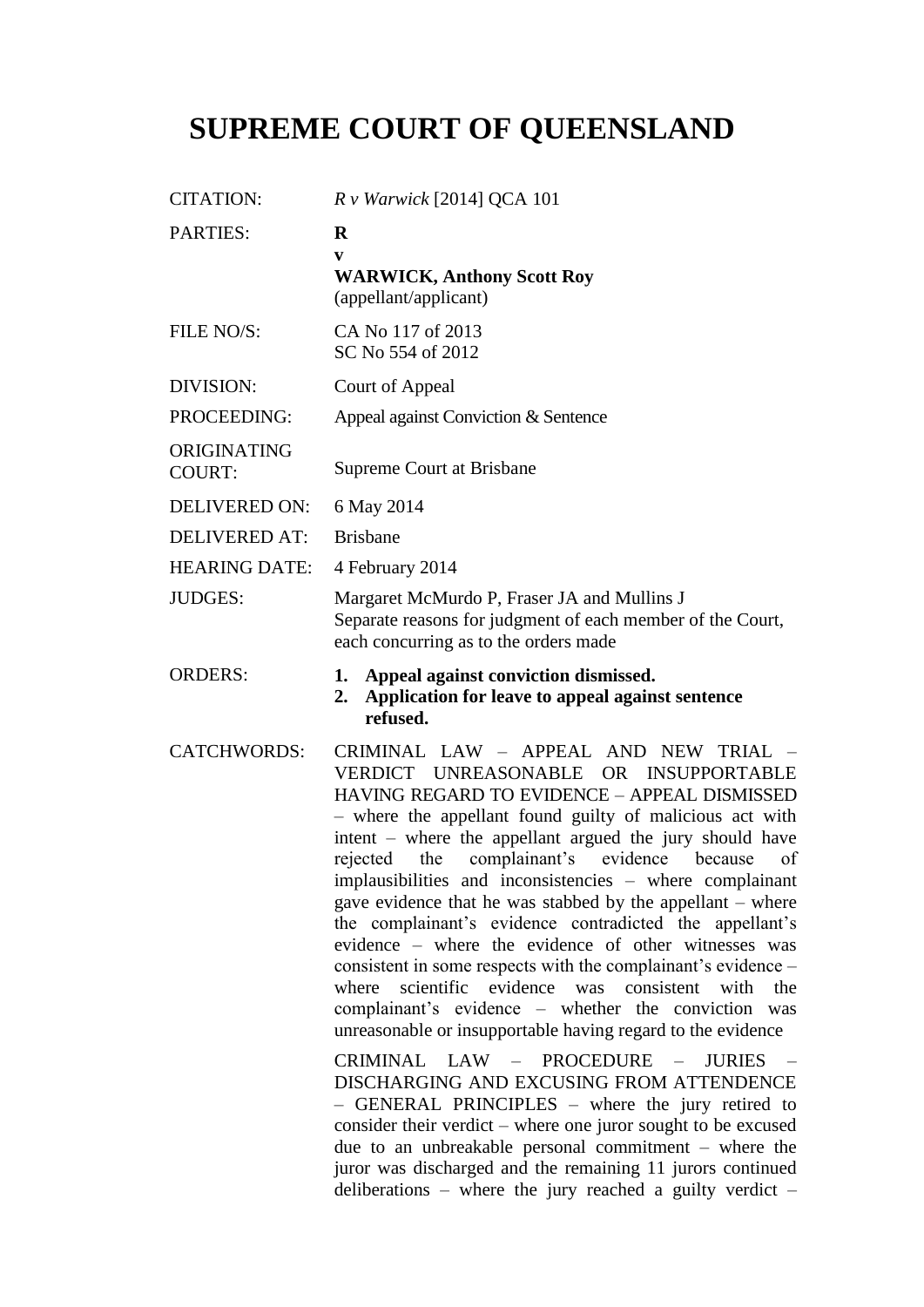# **SUPREME COURT OF QUEENSLAND**

| <b>CITATION:</b>             | $R$ v Warwick [2014] QCA 101                                                                                                                                                                                                                                                                                                                                                                                                                                                                                                                                                                                                                                                                                                                                                                                                                                                                                                                                                                                                                                                                                                                                                                                     |
|------------------------------|------------------------------------------------------------------------------------------------------------------------------------------------------------------------------------------------------------------------------------------------------------------------------------------------------------------------------------------------------------------------------------------------------------------------------------------------------------------------------------------------------------------------------------------------------------------------------------------------------------------------------------------------------------------------------------------------------------------------------------------------------------------------------------------------------------------------------------------------------------------------------------------------------------------------------------------------------------------------------------------------------------------------------------------------------------------------------------------------------------------------------------------------------------------------------------------------------------------|
| <b>PARTIES:</b>              | $\bf R$<br>V<br><b>WARWICK, Anthony Scott Roy</b><br>(appellant/applicant)                                                                                                                                                                                                                                                                                                                                                                                                                                                                                                                                                                                                                                                                                                                                                                                                                                                                                                                                                                                                                                                                                                                                       |
| FILE NO/S:                   | CA No 117 of 2013<br>SC No 554 of 2012                                                                                                                                                                                                                                                                                                                                                                                                                                                                                                                                                                                                                                                                                                                                                                                                                                                                                                                                                                                                                                                                                                                                                                           |
| DIVISION:                    | Court of Appeal                                                                                                                                                                                                                                                                                                                                                                                                                                                                                                                                                                                                                                                                                                                                                                                                                                                                                                                                                                                                                                                                                                                                                                                                  |
| PROCEEDING:                  | Appeal against Conviction & Sentence                                                                                                                                                                                                                                                                                                                                                                                                                                                                                                                                                                                                                                                                                                                                                                                                                                                                                                                                                                                                                                                                                                                                                                             |
| ORIGINATING<br><b>COURT:</b> | Supreme Court at Brisbane                                                                                                                                                                                                                                                                                                                                                                                                                                                                                                                                                                                                                                                                                                                                                                                                                                                                                                                                                                                                                                                                                                                                                                                        |
| <b>DELIVERED ON:</b>         | 6 May 2014                                                                                                                                                                                                                                                                                                                                                                                                                                                                                                                                                                                                                                                                                                                                                                                                                                                                                                                                                                                                                                                                                                                                                                                                       |
| <b>DELIVERED AT:</b>         | <b>Brisbane</b>                                                                                                                                                                                                                                                                                                                                                                                                                                                                                                                                                                                                                                                                                                                                                                                                                                                                                                                                                                                                                                                                                                                                                                                                  |
| <b>HEARING DATE:</b>         | 4 February 2014                                                                                                                                                                                                                                                                                                                                                                                                                                                                                                                                                                                                                                                                                                                                                                                                                                                                                                                                                                                                                                                                                                                                                                                                  |
| <b>JUDGES:</b>               | Margaret McMurdo P, Fraser JA and Mullins J<br>Separate reasons for judgment of each member of the Court,<br>each concurring as to the orders made                                                                                                                                                                                                                                                                                                                                                                                                                                                                                                                                                                                                                                                                                                                                                                                                                                                                                                                                                                                                                                                               |
| <b>ORDERS:</b>               | Appeal against conviction dismissed.<br>1.<br>Application for leave to appeal against sentence<br>2.<br>refused.                                                                                                                                                                                                                                                                                                                                                                                                                                                                                                                                                                                                                                                                                                                                                                                                                                                                                                                                                                                                                                                                                                 |
| <b>CATCHWORDS:</b>           | CRIMINAL LAW - APPEAL AND NEW TRIAL<br>VERDICT UNREASONABLE OR INSUPPORTABLE<br>HAVING REGARD TO EVIDENCE - APPEAL DISMISSED<br>- where the appellant found guilty of malicious act with<br>intent – where the appellant argued the jury should have<br>complainant's<br>the<br>evidence<br>because<br>rejected<br>of<br>implausibilities and inconsistencies – where complainant<br>gave evidence that he was stabbed by the appellant – where<br>the complainant's evidence contradicted the appellant's<br>evidence – where the evidence of other witnesses was<br>consistent in some respects with the complainant's evidence –<br>where scientific evidence was consistent with<br>the<br>complainant's evidence – whether the conviction<br>was<br>unreasonable or insupportable having regard to the evidence<br>CRIMINAL LAW - PROCEDURE - JURIES<br>DISCHARGING AND EXCUSING FROM ATTENDENCE<br>- GENERAL PRINCIPLES - where the jury retired to<br>consider their verdict – where one juror sought to be excused<br>due to an unbreakable personal commitment $-$ where the<br>juror was discharged and the remaining 11 jurors continued<br>deliberations – where the jury reached a guilty verdict – |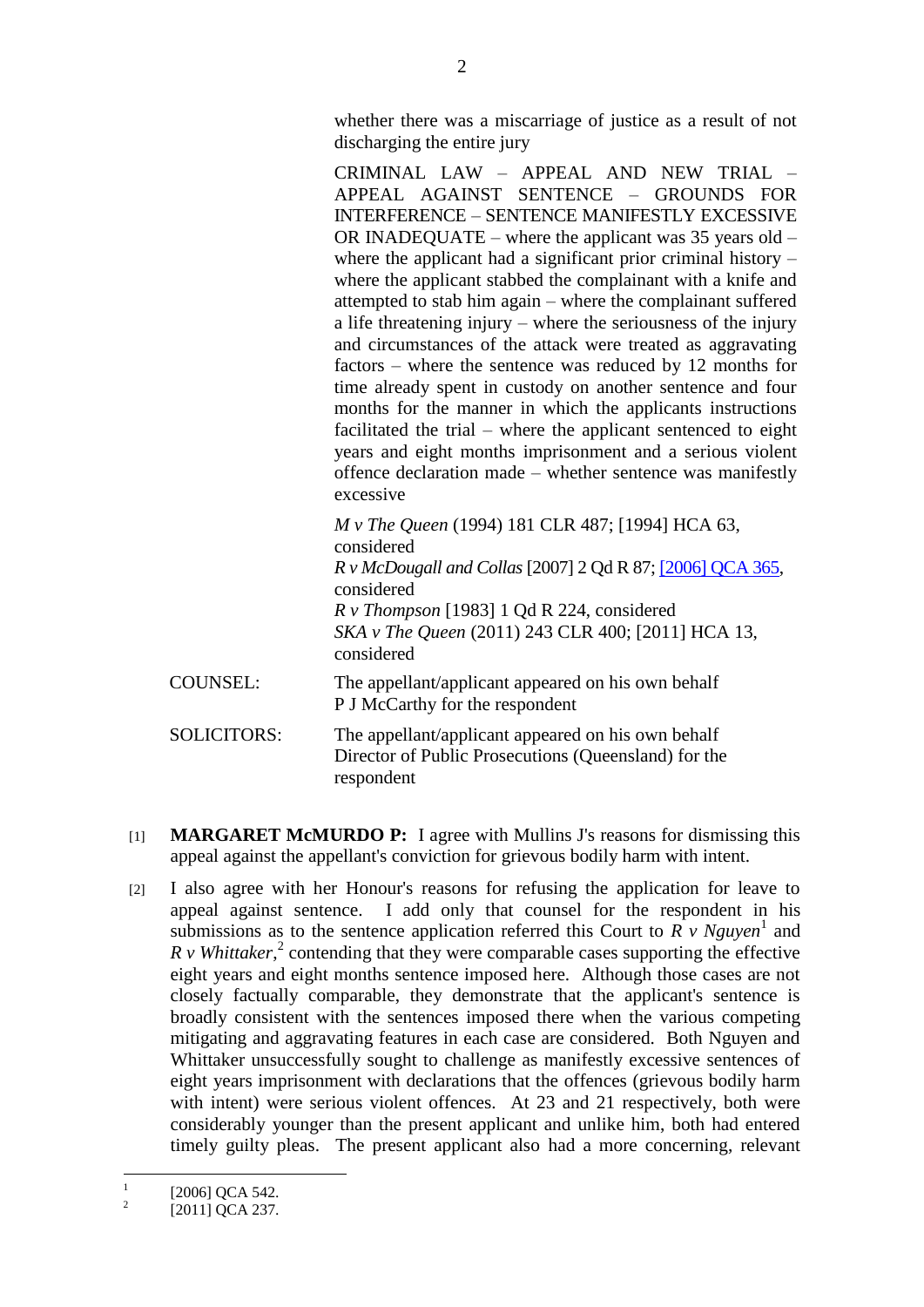whether there was a miscarriage of justice as a result of not discharging the entire jury

CRIMINAL LAW – APPEAL AND NEW TRIAL – APPEAL AGAINST SENTENCE – GROUNDS FOR INTERFERENCE – SENTENCE MANIFESTLY EXCESSIVE OR INADEQUATE – where the applicant was 35 years old – where the applicant had a significant prior criminal history – where the applicant stabbed the complainant with a knife and attempted to stab him again – where the complainant suffered a life threatening injury – where the seriousness of the injury and circumstances of the attack were treated as aggravating factors – where the sentence was reduced by 12 months for time already spent in custody on another sentence and four months for the manner in which the applicants instructions facilitated the trial – where the applicant sentenced to eight years and eight months imprisonment and a serious violent offence declaration made – whether sentence was manifestly excessive

|                    | <i>M v The Queen</i> (1994) 181 CLR 487; [1994] HCA 63,<br>considered<br><i>R v McDougall and Collas</i> [2007] 2 Qd R 87; [2006] QCA 365,<br>considered<br>$R \text{ v}$ Thompson [1983] 1 Qd R 224, considered<br>SKA v The Queen (2011) 243 CLR 400; [2011] HCA 13,<br>considered |
|--------------------|--------------------------------------------------------------------------------------------------------------------------------------------------------------------------------------------------------------------------------------------------------------------------------------|
| <b>COUNSEL:</b>    | The appellant/applicant appeared on his own behalf<br>P J McCarthy for the respondent                                                                                                                                                                                                |
| <b>SOLICITORS:</b> | The appellant/applicant appeared on his own behalf<br>Director of Public Prosecutions (Queensland) for the<br>respondent                                                                                                                                                             |

- [1] **MARGARET McMURDO P:** I agree with Mullins J's reasons for dismissing this appeal against the appellant's conviction for grievous bodily harm with intent.
- [2] I also agree with her Honour's reasons for refusing the application for leave to appeal against sentence. I add only that counsel for the respondent in his submissions as to the sentence application referred this Court to  $\overrightarrow{R}$  v Nguyen<sup>1</sup> and  $R \, v$  *Whittaker*,<sup>2</sup> contending that they were comparable cases supporting the effective eight years and eight months sentence imposed here. Although those cases are not closely factually comparable, they demonstrate that the applicant's sentence is broadly consistent with the sentences imposed there when the various competing mitigating and aggravating features in each case are considered. Both Nguyen and Whittaker unsuccessfully sought to challenge as manifestly excessive sentences of eight years imprisonment with declarations that the offences (grievous bodily harm with intent) were serious violent offences. At 23 and 21 respectively, both were considerably younger than the present applicant and unlike him, both had entered timely guilty pleas. The present applicant also had a more concerning, relevant

 $\frac{1}{1}$ [2006] QCA 542.

 $\overline{2}$ [2011] QCA 237.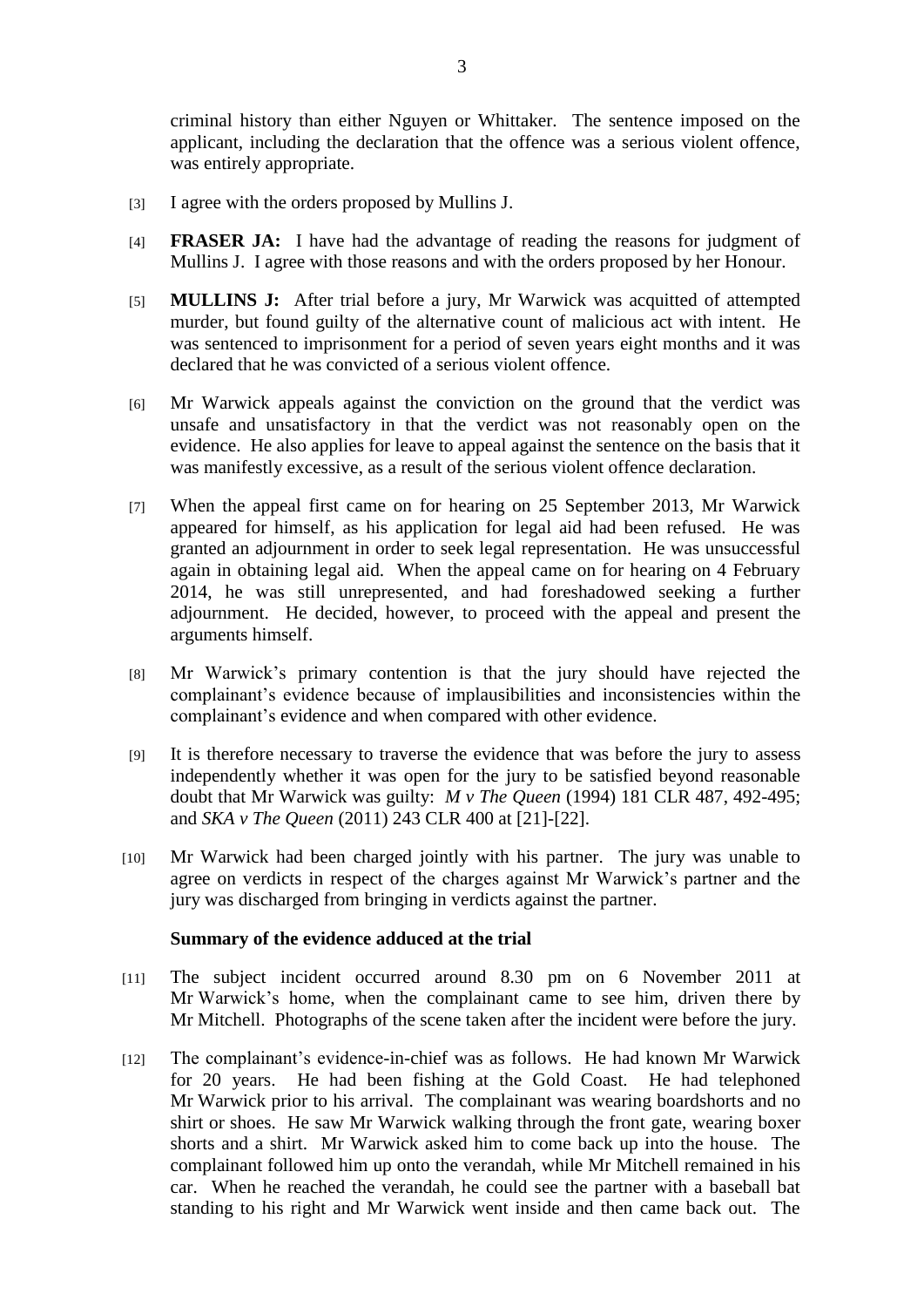criminal history than either Nguyen or Whittaker. The sentence imposed on the applicant, including the declaration that the offence was a serious violent offence, was entirely appropriate.

- [3] I agree with the orders proposed by Mullins J.
- [4] **FRASER JA:** I have had the advantage of reading the reasons for judgment of Mullins J. I agree with those reasons and with the orders proposed by her Honour.
- [5] **MULLINS J:** After trial before a jury, Mr Warwick was acquitted of attempted murder, but found guilty of the alternative count of malicious act with intent. He was sentenced to imprisonment for a period of seven years eight months and it was declared that he was convicted of a serious violent offence.
- [6] Mr Warwick appeals against the conviction on the ground that the verdict was unsafe and unsatisfactory in that the verdict was not reasonably open on the evidence. He also applies for leave to appeal against the sentence on the basis that it was manifestly excessive, as a result of the serious violent offence declaration.
- [7] When the appeal first came on for hearing on 25 September 2013, Mr Warwick appeared for himself, as his application for legal aid had been refused. He was granted an adjournment in order to seek legal representation. He was unsuccessful again in obtaining legal aid. When the appeal came on for hearing on 4 February 2014, he was still unrepresented, and had foreshadowed seeking a further adjournment. He decided, however, to proceed with the appeal and present the arguments himself.
- [8] Mr Warwick's primary contention is that the jury should have rejected the complainant's evidence because of implausibilities and inconsistencies within the complainant's evidence and when compared with other evidence.
- [9] It is therefore necessary to traverse the evidence that was before the jury to assess independently whether it was open for the jury to be satisfied beyond reasonable doubt that Mr Warwick was guilty: *M v The Queen* (1994) 181 CLR 487, 492-495; and *SKA v The Queen* (2011) 243 CLR 400 at [21]-[22].
- [10] Mr Warwick had been charged jointly with his partner. The jury was unable to agree on verdicts in respect of the charges against Mr Warwick's partner and the jury was discharged from bringing in verdicts against the partner.

#### **Summary of the evidence adduced at the trial**

- [11] The subject incident occurred around 8.30 pm on 6 November 2011 at Mr Warwick's home, when the complainant came to see him, driven there by Mr Mitchell. Photographs of the scene taken after the incident were before the jury.
- [12] The complainant's evidence-in-chief was as follows. He had known Mr Warwick for 20 years. He had been fishing at the Gold Coast. He had telephoned Mr Warwick prior to his arrival. The complainant was wearing boardshorts and no shirt or shoes. He saw Mr Warwick walking through the front gate, wearing boxer shorts and a shirt. Mr Warwick asked him to come back up into the house. The complainant followed him up onto the verandah, while Mr Mitchell remained in his car. When he reached the verandah, he could see the partner with a baseball bat standing to his right and Mr Warwick went inside and then came back out. The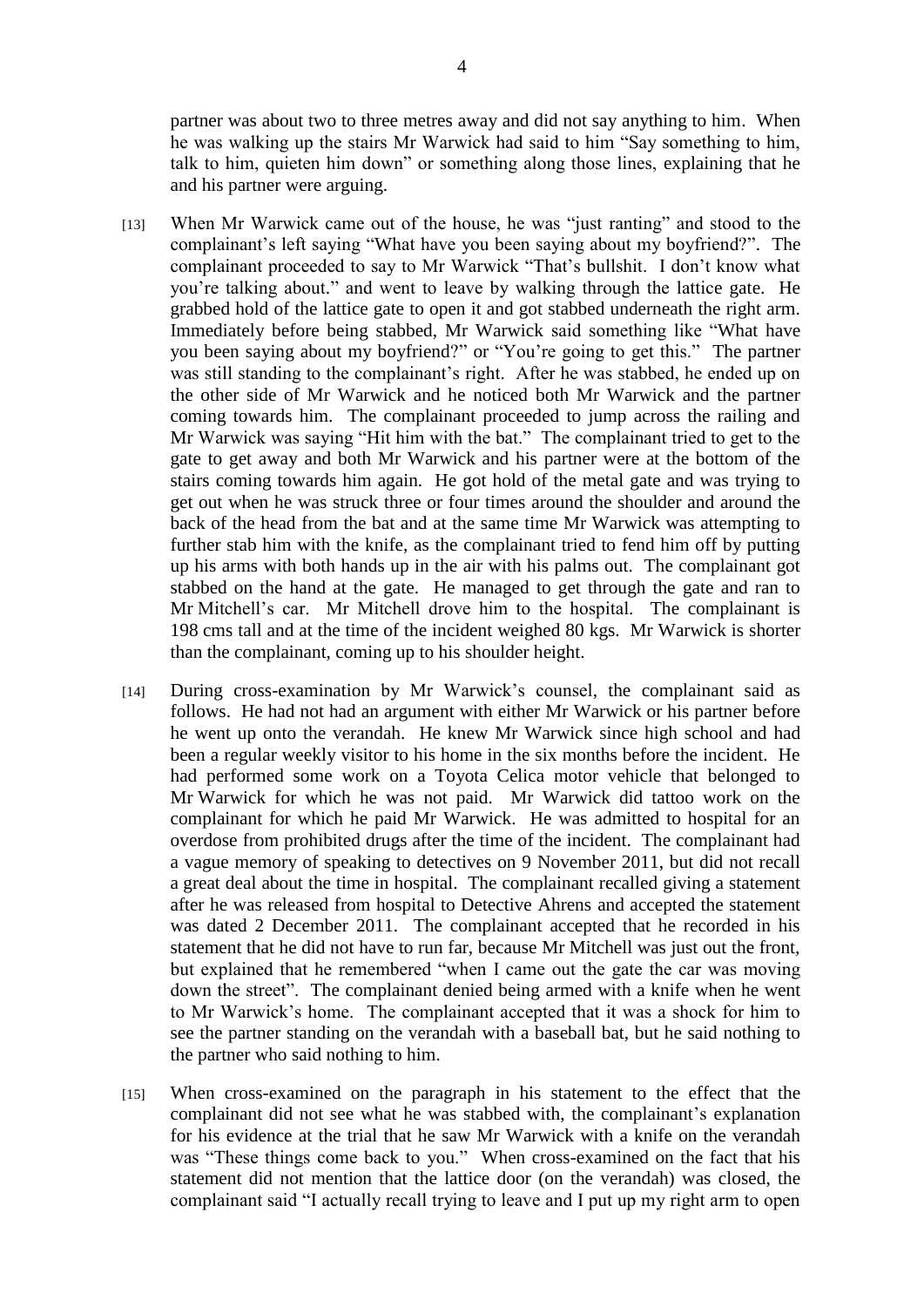partner was about two to three metres away and did not say anything to him. When he was walking up the stairs Mr Warwick had said to him "Say something to him, talk to him, quieten him down" or something along those lines, explaining that he and his partner were arguing.

- [13] When Mr Warwick came out of the house, he was "just ranting" and stood to the complainant's left saying "What have you been saying about my boyfriend?". The complainant proceeded to say to Mr Warwick "That's bullshit. I don't know what you're talking about." and went to leave by walking through the lattice gate. He grabbed hold of the lattice gate to open it and got stabbed underneath the right arm. Immediately before being stabbed, Mr Warwick said something like "What have you been saying about my boyfriend?" or "You're going to get this." The partner was still standing to the complainant's right. After he was stabbed, he ended up on the other side of Mr Warwick and he noticed both Mr Warwick and the partner coming towards him. The complainant proceeded to jump across the railing and Mr Warwick was saying "Hit him with the bat." The complainant tried to get to the gate to get away and both Mr Warwick and his partner were at the bottom of the stairs coming towards him again. He got hold of the metal gate and was trying to get out when he was struck three or four times around the shoulder and around the back of the head from the bat and at the same time Mr Warwick was attempting to further stab him with the knife, as the complainant tried to fend him off by putting up his arms with both hands up in the air with his palms out. The complainant got stabbed on the hand at the gate. He managed to get through the gate and ran to Mr Mitchell's car. Mr Mitchell drove him to the hospital. The complainant is 198 cms tall and at the time of the incident weighed 80 kgs. Mr Warwick is shorter than the complainant, coming up to his shoulder height.
- [14] During cross-examination by Mr Warwick's counsel, the complainant said as follows. He had not had an argument with either Mr Warwick or his partner before he went up onto the verandah. He knew Mr Warwick since high school and had been a regular weekly visitor to his home in the six months before the incident. He had performed some work on a Toyota Celica motor vehicle that belonged to Mr Warwick for which he was not paid. Mr Warwick did tattoo work on the complainant for which he paid Mr Warwick. He was admitted to hospital for an overdose from prohibited drugs after the time of the incident. The complainant had a vague memory of speaking to detectives on 9 November 2011, but did not recall a great deal about the time in hospital. The complainant recalled giving a statement after he was released from hospital to Detective Ahrens and accepted the statement was dated 2 December 2011. The complainant accepted that he recorded in his statement that he did not have to run far, because Mr Mitchell was just out the front, but explained that he remembered "when I came out the gate the car was moving down the street". The complainant denied being armed with a knife when he went to Mr Warwick's home. The complainant accepted that it was a shock for him to see the partner standing on the verandah with a baseball bat, but he said nothing to the partner who said nothing to him.
- [15] When cross-examined on the paragraph in his statement to the effect that the complainant did not see what he was stabbed with, the complainant's explanation for his evidence at the trial that he saw Mr Warwick with a knife on the verandah was "These things come back to you." When cross-examined on the fact that his statement did not mention that the lattice door (on the verandah) was closed, the complainant said "I actually recall trying to leave and I put up my right arm to open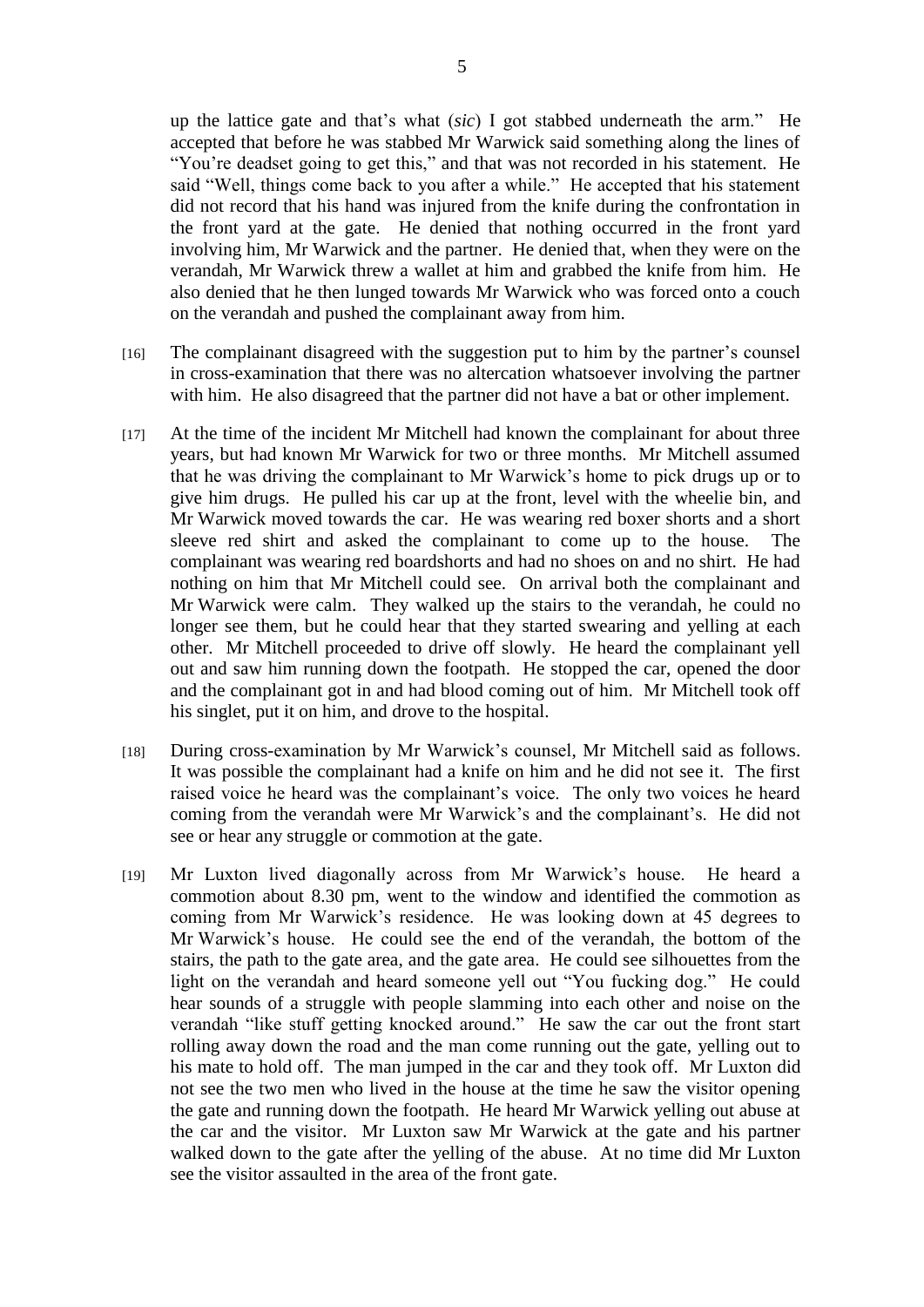up the lattice gate and that's what (*sic*) I got stabbed underneath the arm." He accepted that before he was stabbed Mr Warwick said something along the lines of "You're deadset going to get this," and that was not recorded in his statement. He said "Well, things come back to you after a while." He accepted that his statement did not record that his hand was injured from the knife during the confrontation in the front yard at the gate. He denied that nothing occurred in the front yard involving him, Mr Warwick and the partner. He denied that, when they were on the verandah, Mr Warwick threw a wallet at him and grabbed the knife from him. He also denied that he then lunged towards Mr Warwick who was forced onto a couch on the verandah and pushed the complainant away from him.

- [16] The complainant disagreed with the suggestion put to him by the partner's counsel in cross-examination that there was no altercation whatsoever involving the partner with him. He also disagreed that the partner did not have a bat or other implement.
- [17] At the time of the incident Mr Mitchell had known the complainant for about three years, but had known Mr Warwick for two or three months. Mr Mitchell assumed that he was driving the complainant to Mr Warwick's home to pick drugs up or to give him drugs. He pulled his car up at the front, level with the wheelie bin, and Mr Warwick moved towards the car. He was wearing red boxer shorts and a short sleeve red shirt and asked the complainant to come up to the house. The complainant was wearing red boardshorts and had no shoes on and no shirt. He had nothing on him that Mr Mitchell could see. On arrival both the complainant and Mr Warwick were calm. They walked up the stairs to the verandah, he could no longer see them, but he could hear that they started swearing and yelling at each other. Mr Mitchell proceeded to drive off slowly. He heard the complainant yell out and saw him running down the footpath. He stopped the car, opened the door and the complainant got in and had blood coming out of him. Mr Mitchell took off his singlet, put it on him, and drove to the hospital.
- [18] During cross-examination by Mr Warwick's counsel, Mr Mitchell said as follows. It was possible the complainant had a knife on him and he did not see it. The first raised voice he heard was the complainant's voice. The only two voices he heard coming from the verandah were Mr Warwick's and the complainant's. He did not see or hear any struggle or commotion at the gate.
- [19] Mr Luxton lived diagonally across from Mr Warwick's house. He heard a commotion about 8.30 pm, went to the window and identified the commotion as coming from Mr Warwick's residence. He was looking down at 45 degrees to Mr Warwick's house. He could see the end of the verandah, the bottom of the stairs, the path to the gate area, and the gate area. He could see silhouettes from the light on the verandah and heard someone yell out "You fucking dog." He could hear sounds of a struggle with people slamming into each other and noise on the verandah "like stuff getting knocked around." He saw the car out the front start rolling away down the road and the man come running out the gate, yelling out to his mate to hold off. The man jumped in the car and they took off. Mr Luxton did not see the two men who lived in the house at the time he saw the visitor opening the gate and running down the footpath. He heard Mr Warwick yelling out abuse at the car and the visitor. Mr Luxton saw Mr Warwick at the gate and his partner walked down to the gate after the yelling of the abuse. At no time did Mr Luxton see the visitor assaulted in the area of the front gate.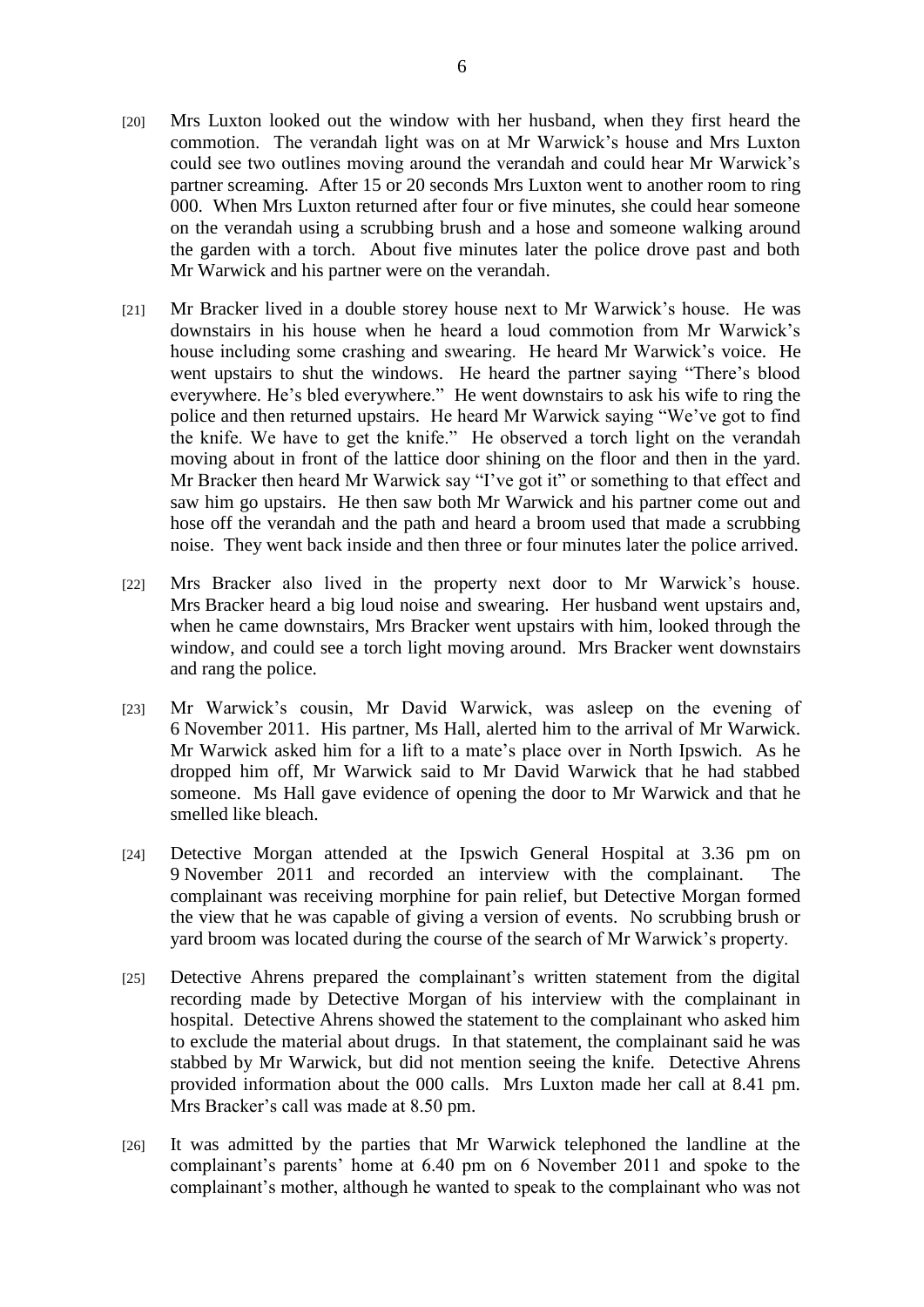- [20] Mrs Luxton looked out the window with her husband, when they first heard the commotion. The verandah light was on at Mr Warwick's house and Mrs Luxton could see two outlines moving around the verandah and could hear Mr Warwick's partner screaming. After 15 or 20 seconds Mrs Luxton went to another room to ring 000. When Mrs Luxton returned after four or five minutes, she could hear someone on the verandah using a scrubbing brush and a hose and someone walking around the garden with a torch. About five minutes later the police drove past and both Mr Warwick and his partner were on the verandah.
- [21] Mr Bracker lived in a double storey house next to Mr Warwick's house. He was downstairs in his house when he heard a loud commotion from Mr Warwick's house including some crashing and swearing. He heard Mr Warwick's voice. He went upstairs to shut the windows. He heard the partner saying "There's blood everywhere. He's bled everywhere." He went downstairs to ask his wife to ring the police and then returned upstairs. He heard Mr Warwick saying "We've got to find the knife. We have to get the knife." He observed a torch light on the verandah moving about in front of the lattice door shining on the floor and then in the yard. Mr Bracker then heard Mr Warwick say "I've got it" or something to that effect and saw him go upstairs. He then saw both Mr Warwick and his partner come out and hose off the verandah and the path and heard a broom used that made a scrubbing noise. They went back inside and then three or four minutes later the police arrived.
- [22] Mrs Bracker also lived in the property next door to Mr Warwick's house. Mrs Bracker heard a big loud noise and swearing. Her husband went upstairs and, when he came downstairs, Mrs Bracker went upstairs with him, looked through the window, and could see a torch light moving around. Mrs Bracker went downstairs and rang the police.
- [23] Mr Warwick's cousin, Mr David Warwick, was asleep on the evening of 6 November 2011. His partner, Ms Hall, alerted him to the arrival of Mr Warwick. Mr Warwick asked him for a lift to a mate's place over in North Ipswich. As he dropped him off, Mr Warwick said to Mr David Warwick that he had stabbed someone. Ms Hall gave evidence of opening the door to Mr Warwick and that he smelled like bleach.
- [24] Detective Morgan attended at the Ipswich General Hospital at 3.36 pm on 9 November 2011 and recorded an interview with the complainant. The complainant was receiving morphine for pain relief, but Detective Morgan formed the view that he was capable of giving a version of events. No scrubbing brush or yard broom was located during the course of the search of Mr Warwick's property.
- [25] Detective Ahrens prepared the complainant's written statement from the digital recording made by Detective Morgan of his interview with the complainant in hospital. Detective Ahrens showed the statement to the complainant who asked him to exclude the material about drugs. In that statement, the complainant said he was stabbed by Mr Warwick, but did not mention seeing the knife. Detective Ahrens provided information about the 000 calls. Mrs Luxton made her call at 8.41 pm. Mrs Bracker's call was made at 8.50 pm.
- [26] It was admitted by the parties that Mr Warwick telephoned the landline at the complainant's parents' home at 6.40 pm on 6 November 2011 and spoke to the complainant's mother, although he wanted to speak to the complainant who was not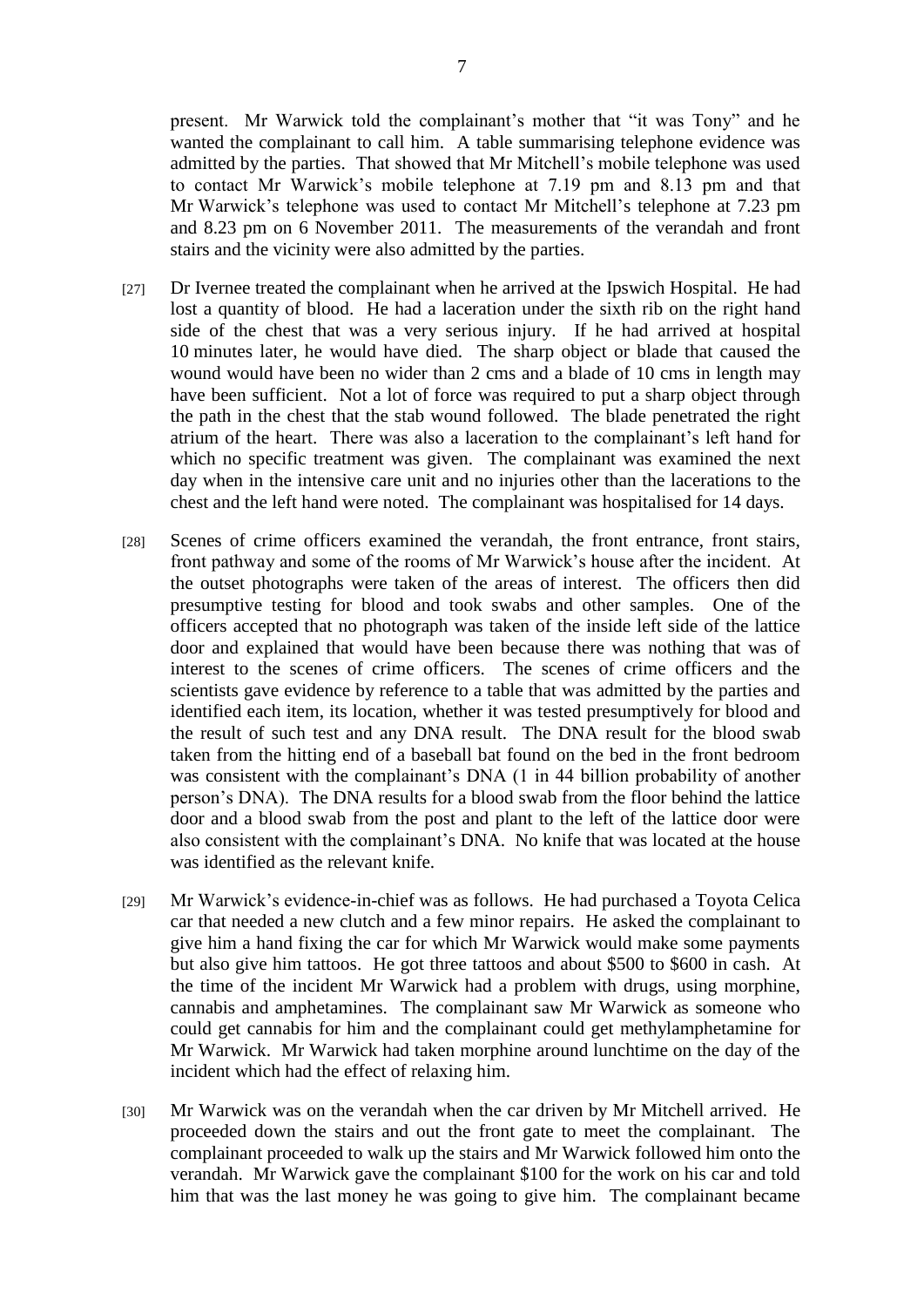present. Mr Warwick told the complainant's mother that "it was Tony" and he wanted the complainant to call him. A table summarising telephone evidence was admitted by the parties. That showed that Mr Mitchell's mobile telephone was used to contact Mr Warwick's mobile telephone at 7.19 pm and 8.13 pm and that Mr Warwick's telephone was used to contact Mr Mitchell's telephone at 7.23 pm and 8.23 pm on 6 November 2011. The measurements of the verandah and front stairs and the vicinity were also admitted by the parties.

- [27] Dr Ivernee treated the complainant when he arrived at the Ipswich Hospital. He had lost a quantity of blood. He had a laceration under the sixth rib on the right hand side of the chest that was a very serious injury. If he had arrived at hospital 10 minutes later, he would have died. The sharp object or blade that caused the wound would have been no wider than 2 cms and a blade of 10 cms in length may have been sufficient. Not a lot of force was required to put a sharp object through the path in the chest that the stab wound followed. The blade penetrated the right atrium of the heart. There was also a laceration to the complainant's left hand for which no specific treatment was given. The complainant was examined the next day when in the intensive care unit and no injuries other than the lacerations to the chest and the left hand were noted. The complainant was hospitalised for 14 days.
- [28] Scenes of crime officers examined the verandah, the front entrance, front stairs, front pathway and some of the rooms of Mr Warwick's house after the incident. At the outset photographs were taken of the areas of interest. The officers then did presumptive testing for blood and took swabs and other samples. One of the officers accepted that no photograph was taken of the inside left side of the lattice door and explained that would have been because there was nothing that was of interest to the scenes of crime officers. The scenes of crime officers and the scientists gave evidence by reference to a table that was admitted by the parties and identified each item, its location, whether it was tested presumptively for blood and the result of such test and any DNA result. The DNA result for the blood swab taken from the hitting end of a baseball bat found on the bed in the front bedroom was consistent with the complainant's DNA (1 in 44 billion probability of another person's DNA). The DNA results for a blood swab from the floor behind the lattice door and a blood swab from the post and plant to the left of the lattice door were also consistent with the complainant's DNA. No knife that was located at the house was identified as the relevant knife.
- [29] Mr Warwick's evidence-in-chief was as follows. He had purchased a Toyota Celica car that needed a new clutch and a few minor repairs. He asked the complainant to give him a hand fixing the car for which Mr Warwick would make some payments but also give him tattoos. He got three tattoos and about \$500 to \$600 in cash. At the time of the incident Mr Warwick had a problem with drugs, using morphine, cannabis and amphetamines. The complainant saw Mr Warwick as someone who could get cannabis for him and the complainant could get methylamphetamine for Mr Warwick. Mr Warwick had taken morphine around lunchtime on the day of the incident which had the effect of relaxing him.
- [30] Mr Warwick was on the verandah when the car driven by Mr Mitchell arrived. He proceeded down the stairs and out the front gate to meet the complainant. The complainant proceeded to walk up the stairs and Mr Warwick followed him onto the verandah. Mr Warwick gave the complainant \$100 for the work on his car and told him that was the last money he was going to give him. The complainant became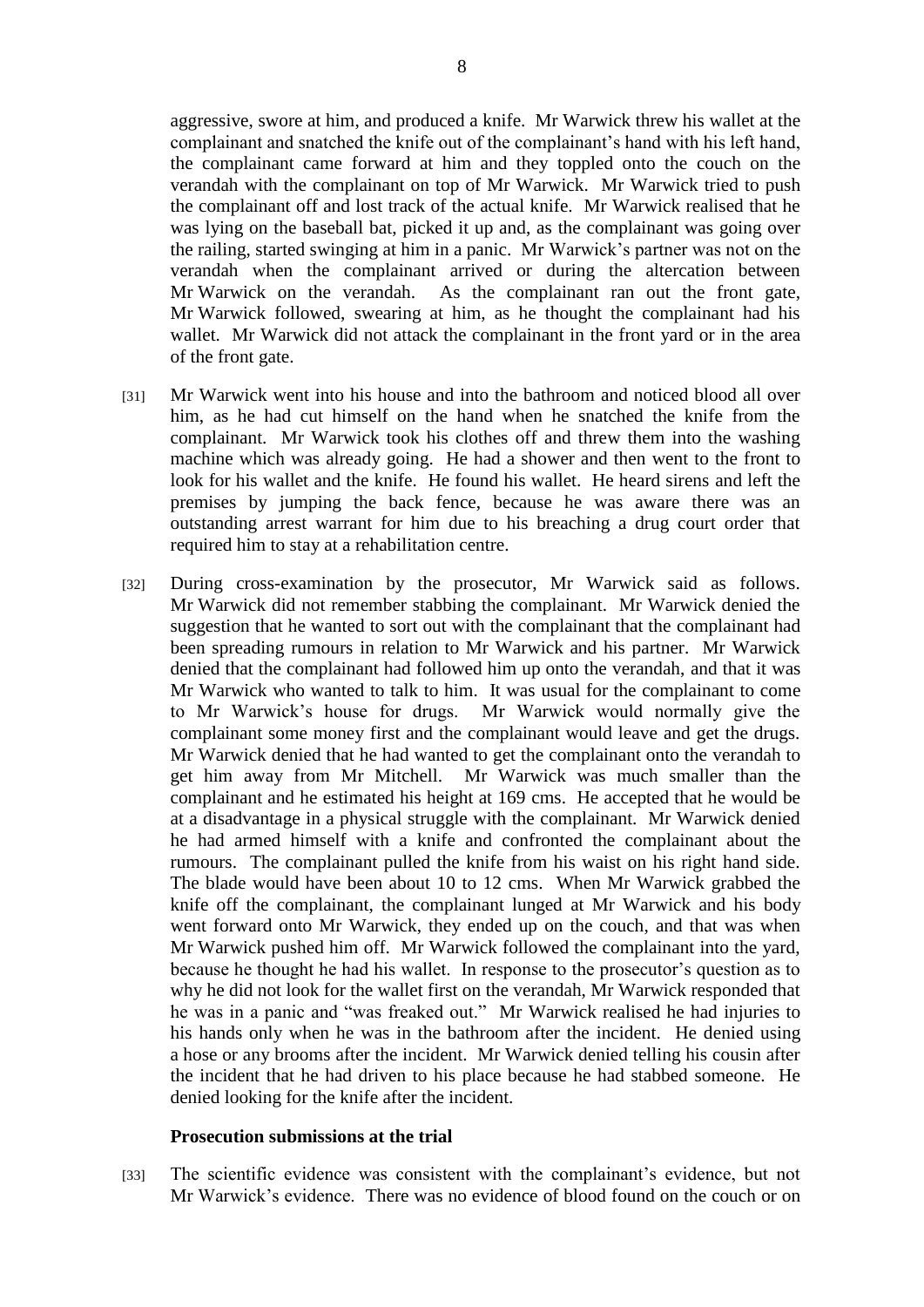aggressive, swore at him, and produced a knife. Mr Warwick threw his wallet at the complainant and snatched the knife out of the complainant's hand with his left hand, the complainant came forward at him and they toppled onto the couch on the verandah with the complainant on top of Mr Warwick. Mr Warwick tried to push the complainant off and lost track of the actual knife. Mr Warwick realised that he was lying on the baseball bat, picked it up and, as the complainant was going over the railing, started swinging at him in a panic. Mr Warwick's partner was not on the verandah when the complainant arrived or during the altercation between Mr Warwick on the verandah. As the complainant ran out the front gate, Mr Warwick followed, swearing at him, as he thought the complainant had his wallet. Mr Warwick did not attack the complainant in the front yard or in the area of the front gate.

- [31] Mr Warwick went into his house and into the bathroom and noticed blood all over him, as he had cut himself on the hand when he snatched the knife from the complainant. Mr Warwick took his clothes off and threw them into the washing machine which was already going. He had a shower and then went to the front to look for his wallet and the knife. He found his wallet. He heard sirens and left the premises by jumping the back fence, because he was aware there was an outstanding arrest warrant for him due to his breaching a drug court order that required him to stay at a rehabilitation centre.
- [32] During cross-examination by the prosecutor, Mr Warwick said as follows. Mr Warwick did not remember stabbing the complainant. Mr Warwick denied the suggestion that he wanted to sort out with the complainant that the complainant had been spreading rumours in relation to Mr Warwick and his partner. Mr Warwick denied that the complainant had followed him up onto the verandah, and that it was Mr Warwick who wanted to talk to him. It was usual for the complainant to come to Mr Warwick's house for drugs. Mr Warwick would normally give the complainant some money first and the complainant would leave and get the drugs. Mr Warwick denied that he had wanted to get the complainant onto the verandah to get him away from Mr Mitchell. Mr Warwick was much smaller than the complainant and he estimated his height at 169 cms. He accepted that he would be at a disadvantage in a physical struggle with the complainant. Mr Warwick denied he had armed himself with a knife and confronted the complainant about the rumours. The complainant pulled the knife from his waist on his right hand side. The blade would have been about 10 to 12 cms. When Mr Warwick grabbed the knife off the complainant, the complainant lunged at Mr Warwick and his body went forward onto Mr Warwick, they ended up on the couch, and that was when Mr Warwick pushed him off. Mr Warwick followed the complainant into the yard, because he thought he had his wallet. In response to the prosecutor's question as to why he did not look for the wallet first on the verandah, Mr Warwick responded that he was in a panic and "was freaked out." Mr Warwick realised he had injuries to his hands only when he was in the bathroom after the incident. He denied using a hose or any brooms after the incident. Mr Warwick denied telling his cousin after the incident that he had driven to his place because he had stabbed someone. He denied looking for the knife after the incident.

#### **Prosecution submissions at the trial**

[33] The scientific evidence was consistent with the complainant's evidence, but not Mr Warwick's evidence. There was no evidence of blood found on the couch or on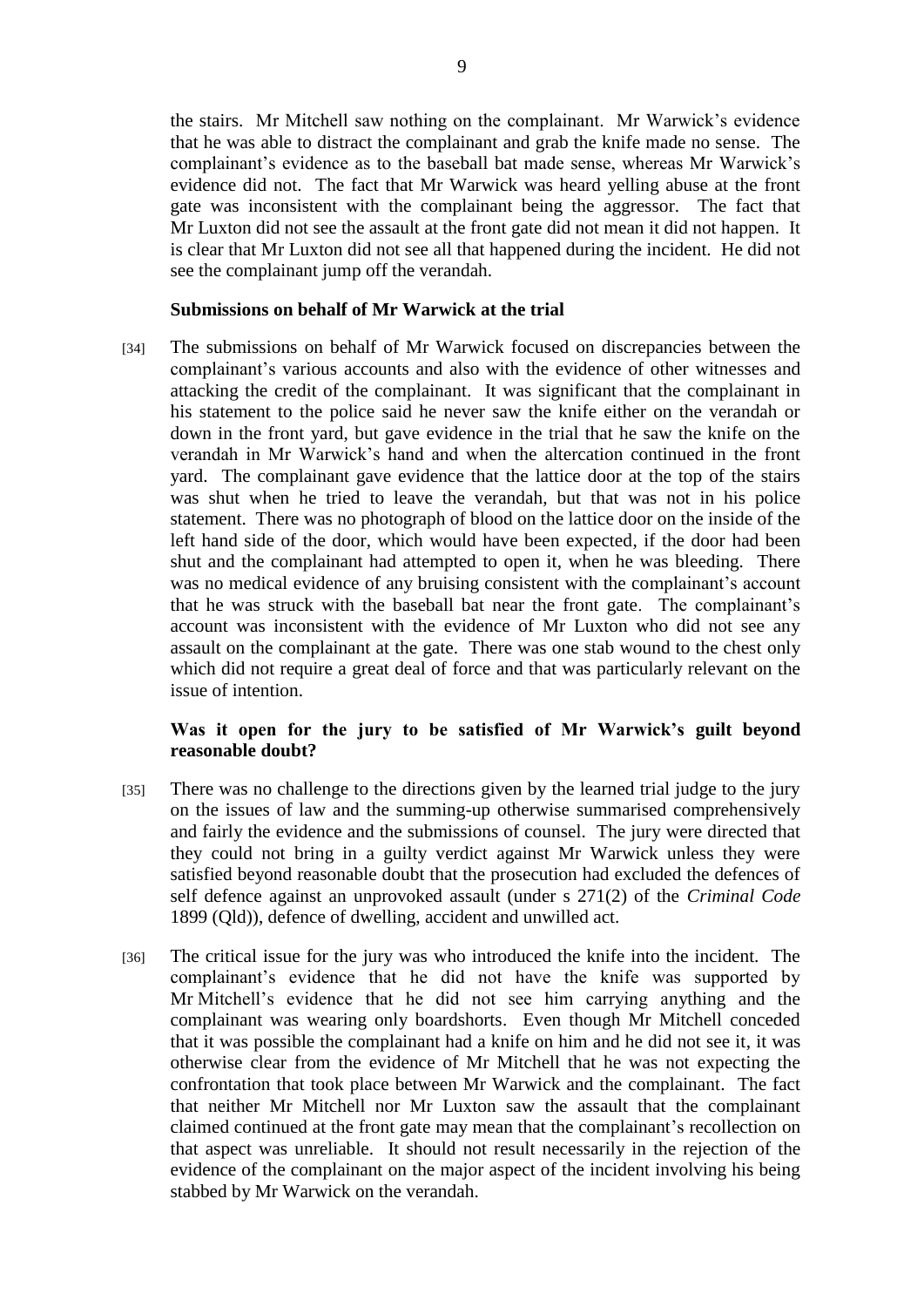the stairs. Mr Mitchell saw nothing on the complainant. Mr Warwick's evidence that he was able to distract the complainant and grab the knife made no sense. The complainant's evidence as to the baseball bat made sense, whereas Mr Warwick's evidence did not. The fact that Mr Warwick was heard yelling abuse at the front gate was inconsistent with the complainant being the aggressor. The fact that Mr Luxton did not see the assault at the front gate did not mean it did not happen. It is clear that Mr Luxton did not see all that happened during the incident. He did not see the complainant jump off the verandah.

### **Submissions on behalf of Mr Warwick at the trial**

[34] The submissions on behalf of Mr Warwick focused on discrepancies between the complainant's various accounts and also with the evidence of other witnesses and attacking the credit of the complainant. It was significant that the complainant in his statement to the police said he never saw the knife either on the verandah or down in the front yard, but gave evidence in the trial that he saw the knife on the verandah in Mr Warwick's hand and when the altercation continued in the front yard. The complainant gave evidence that the lattice door at the top of the stairs was shut when he tried to leave the verandah, but that was not in his police statement. There was no photograph of blood on the lattice door on the inside of the left hand side of the door, which would have been expected, if the door had been shut and the complainant had attempted to open it, when he was bleeding. There was no medical evidence of any bruising consistent with the complainant's account that he was struck with the baseball bat near the front gate. The complainant's account was inconsistent with the evidence of Mr Luxton who did not see any assault on the complainant at the gate. There was one stab wound to the chest only which did not require a great deal of force and that was particularly relevant on the issue of intention.

## **Was it open for the jury to be satisfied of Mr Warwick's guilt beyond reasonable doubt?**

- [35] There was no challenge to the directions given by the learned trial judge to the jury on the issues of law and the summing-up otherwise summarised comprehensively and fairly the evidence and the submissions of counsel. The jury were directed that they could not bring in a guilty verdict against Mr Warwick unless they were satisfied beyond reasonable doubt that the prosecution had excluded the defences of self defence against an unprovoked assault (under s 271(2) of the *Criminal Code* 1899 (Qld)), defence of dwelling, accident and unwilled act.
- [36] The critical issue for the jury was who introduced the knife into the incident. The complainant's evidence that he did not have the knife was supported by Mr Mitchell's evidence that he did not see him carrying anything and the complainant was wearing only boardshorts. Even though Mr Mitchell conceded that it was possible the complainant had a knife on him and he did not see it, it was otherwise clear from the evidence of Mr Mitchell that he was not expecting the confrontation that took place between Mr Warwick and the complainant. The fact that neither Mr Mitchell nor Mr Luxton saw the assault that the complainant claimed continued at the front gate may mean that the complainant's recollection on that aspect was unreliable. It should not result necessarily in the rejection of the evidence of the complainant on the major aspect of the incident involving his being stabbed by Mr Warwick on the verandah.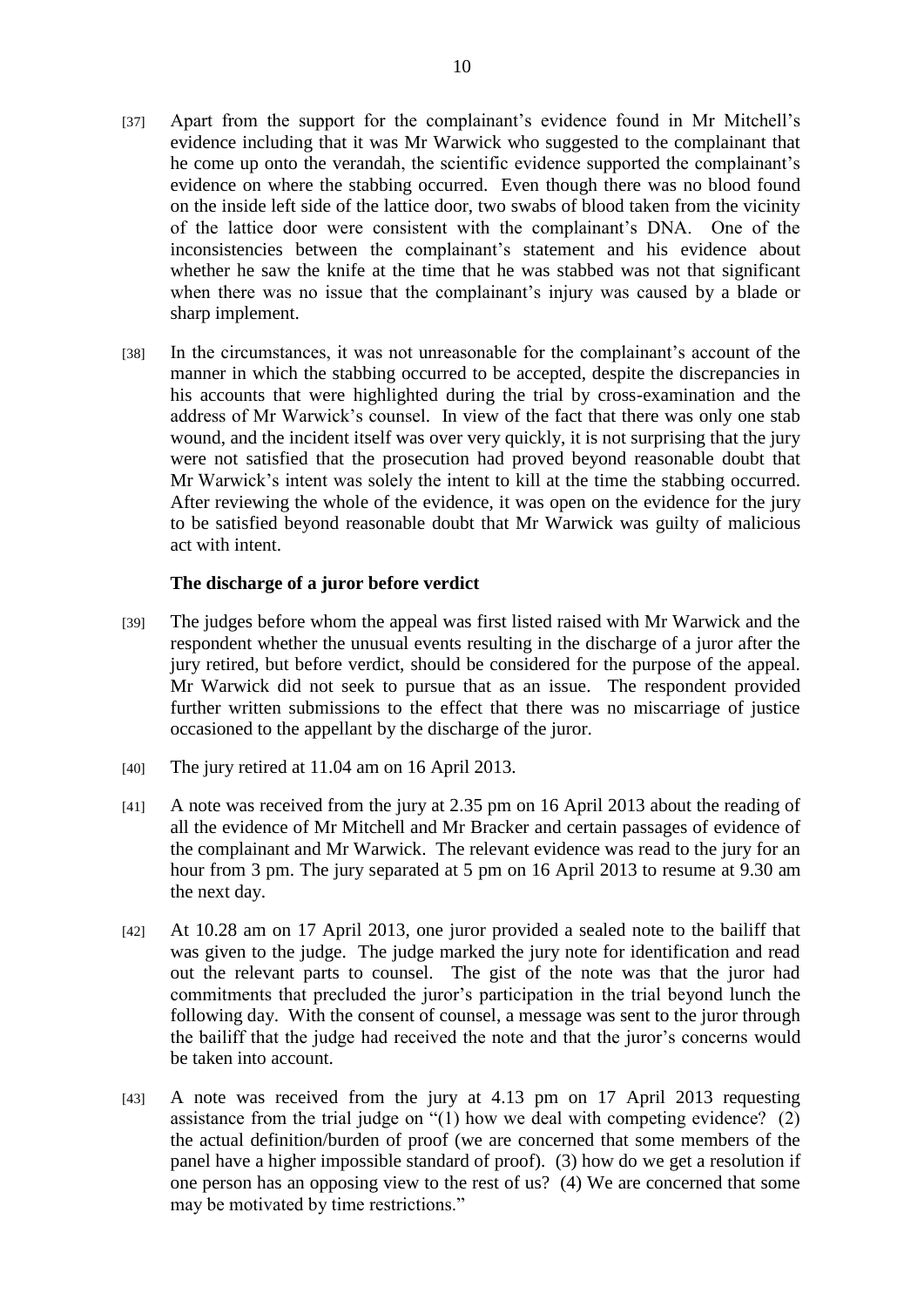- [37] Apart from the support for the complainant's evidence found in Mr Mitchell's evidence including that it was Mr Warwick who suggested to the complainant that he come up onto the verandah, the scientific evidence supported the complainant's evidence on where the stabbing occurred. Even though there was no blood found on the inside left side of the lattice door, two swabs of blood taken from the vicinity of the lattice door were consistent with the complainant's DNA. One of the inconsistencies between the complainant's statement and his evidence about whether he saw the knife at the time that he was stabbed was not that significant when there was no issue that the complainant's injury was caused by a blade or sharp implement.
- [38] In the circumstances, it was not unreasonable for the complainant's account of the manner in which the stabbing occurred to be accepted, despite the discrepancies in his accounts that were highlighted during the trial by cross-examination and the address of Mr Warwick's counsel. In view of the fact that there was only one stab wound, and the incident itself was over very quickly, it is not surprising that the jury were not satisfied that the prosecution had proved beyond reasonable doubt that Mr Warwick's intent was solely the intent to kill at the time the stabbing occurred. After reviewing the whole of the evidence, it was open on the evidence for the jury to be satisfied beyond reasonable doubt that Mr Warwick was guilty of malicious act with intent.

## **The discharge of a juror before verdict**

- [39] The judges before whom the appeal was first listed raised with Mr Warwick and the respondent whether the unusual events resulting in the discharge of a juror after the jury retired, but before verdict, should be considered for the purpose of the appeal. Mr Warwick did not seek to pursue that as an issue. The respondent provided further written submissions to the effect that there was no miscarriage of justice occasioned to the appellant by the discharge of the juror.
- [40] The jury retired at 11.04 am on 16 April 2013.
- [41] A note was received from the jury at 2.35 pm on 16 April 2013 about the reading of all the evidence of Mr Mitchell and Mr Bracker and certain passages of evidence of the complainant and Mr Warwick. The relevant evidence was read to the jury for an hour from 3 pm. The jury separated at 5 pm on 16 April 2013 to resume at 9.30 am the next day.
- [42] At 10.28 am on 17 April 2013, one juror provided a sealed note to the bailiff that was given to the judge. The judge marked the jury note for identification and read out the relevant parts to counsel. The gist of the note was that the juror had commitments that precluded the juror's participation in the trial beyond lunch the following day. With the consent of counsel, a message was sent to the juror through the bailiff that the judge had received the note and that the juror's concerns would be taken into account.
- [43] A note was received from the jury at 4.13 pm on 17 April 2013 requesting assistance from the trial judge on "(1) how we deal with competing evidence? (2) the actual definition/burden of proof (we are concerned that some members of the panel have a higher impossible standard of proof). (3) how do we get a resolution if one person has an opposing view to the rest of us? (4) We are concerned that some may be motivated by time restrictions."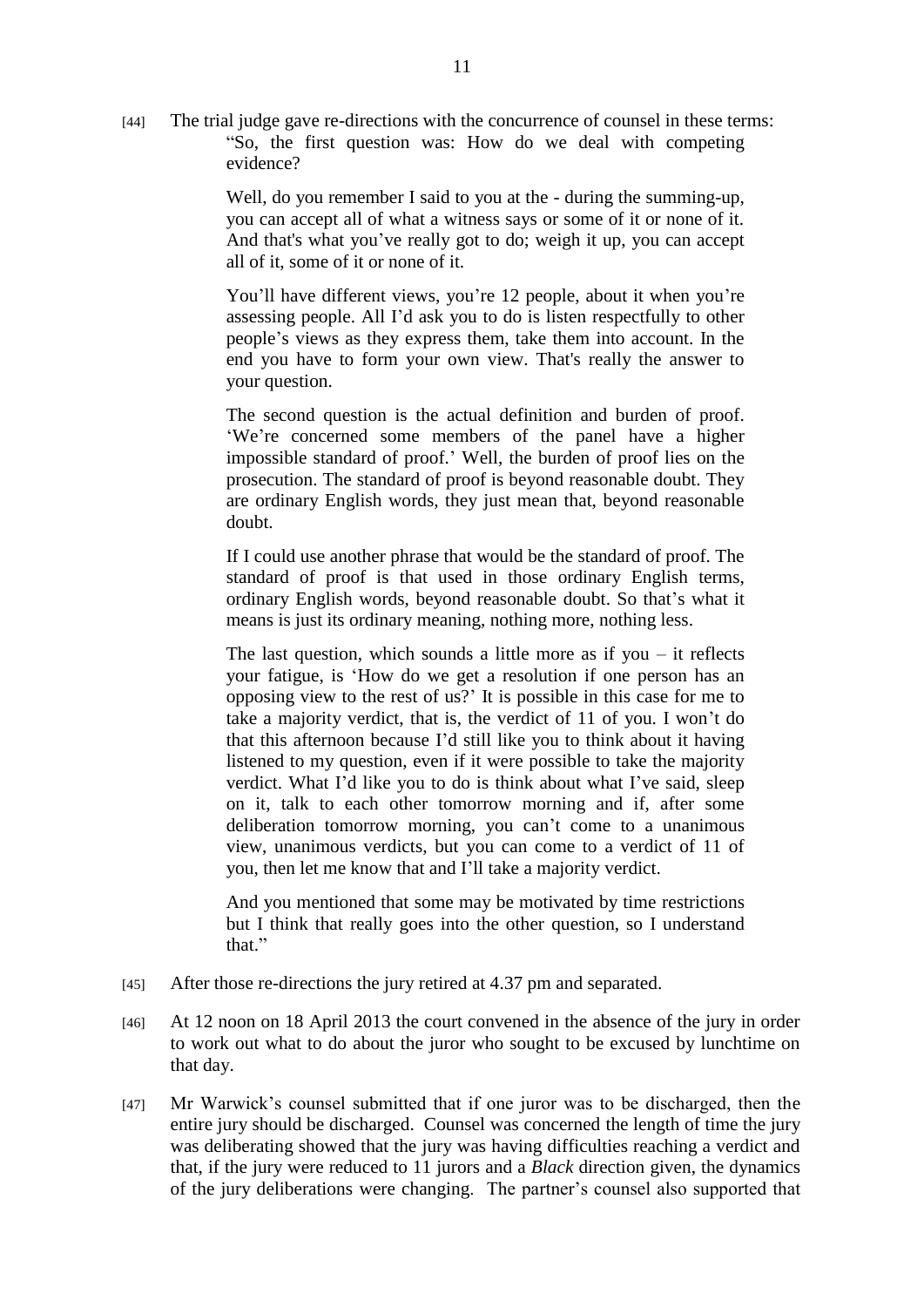[44] The trial judge gave re-directions with the concurrence of counsel in these terms: "So, the first question was: How do we deal with competing evidence?

> Well, do you remember I said to you at the - during the summing-up, you can accept all of what a witness says or some of it or none of it. And that's what you've really got to do; weigh it up, you can accept all of it, some of it or none of it.

> You'll have different views, you're 12 people, about it when you're assessing people. All I'd ask you to do is listen respectfully to other people's views as they express them, take them into account. In the end you have to form your own view. That's really the answer to your question.

> The second question is the actual definition and burden of proof. 'We're concerned some members of the panel have a higher impossible standard of proof.' Well, the burden of proof lies on the prosecution. The standard of proof is beyond reasonable doubt. They are ordinary English words, they just mean that, beyond reasonable doubt.

> If I could use another phrase that would be the standard of proof. The standard of proof is that used in those ordinary English terms, ordinary English words, beyond reasonable doubt. So that's what it means is just its ordinary meaning, nothing more, nothing less.

> The last question, which sounds a little more as if you  $-$  it reflects your fatigue, is 'How do we get a resolution if one person has an opposing view to the rest of us?' It is possible in this case for me to take a majority verdict, that is, the verdict of 11 of you. I won't do that this afternoon because I'd still like you to think about it having listened to my question, even if it were possible to take the majority verdict. What I'd like you to do is think about what I've said, sleep on it, talk to each other tomorrow morning and if, after some deliberation tomorrow morning, you can't come to a unanimous view, unanimous verdicts, but you can come to a verdict of 11 of you, then let me know that and I'll take a majority verdict.

> And you mentioned that some may be motivated by time restrictions but I think that really goes into the other question, so I understand that."

- [45] After those re-directions the jury retired at 4.37 pm and separated.
- [46] At 12 noon on 18 April 2013 the court convened in the absence of the jury in order to work out what to do about the juror who sought to be excused by lunchtime on that day.
- [47] Mr Warwick's counsel submitted that if one juror was to be discharged, then the entire jury should be discharged. Counsel was concerned the length of time the jury was deliberating showed that the jury was having difficulties reaching a verdict and that, if the jury were reduced to 11 jurors and a *Black* direction given, the dynamics of the jury deliberations were changing. The partner's counsel also supported that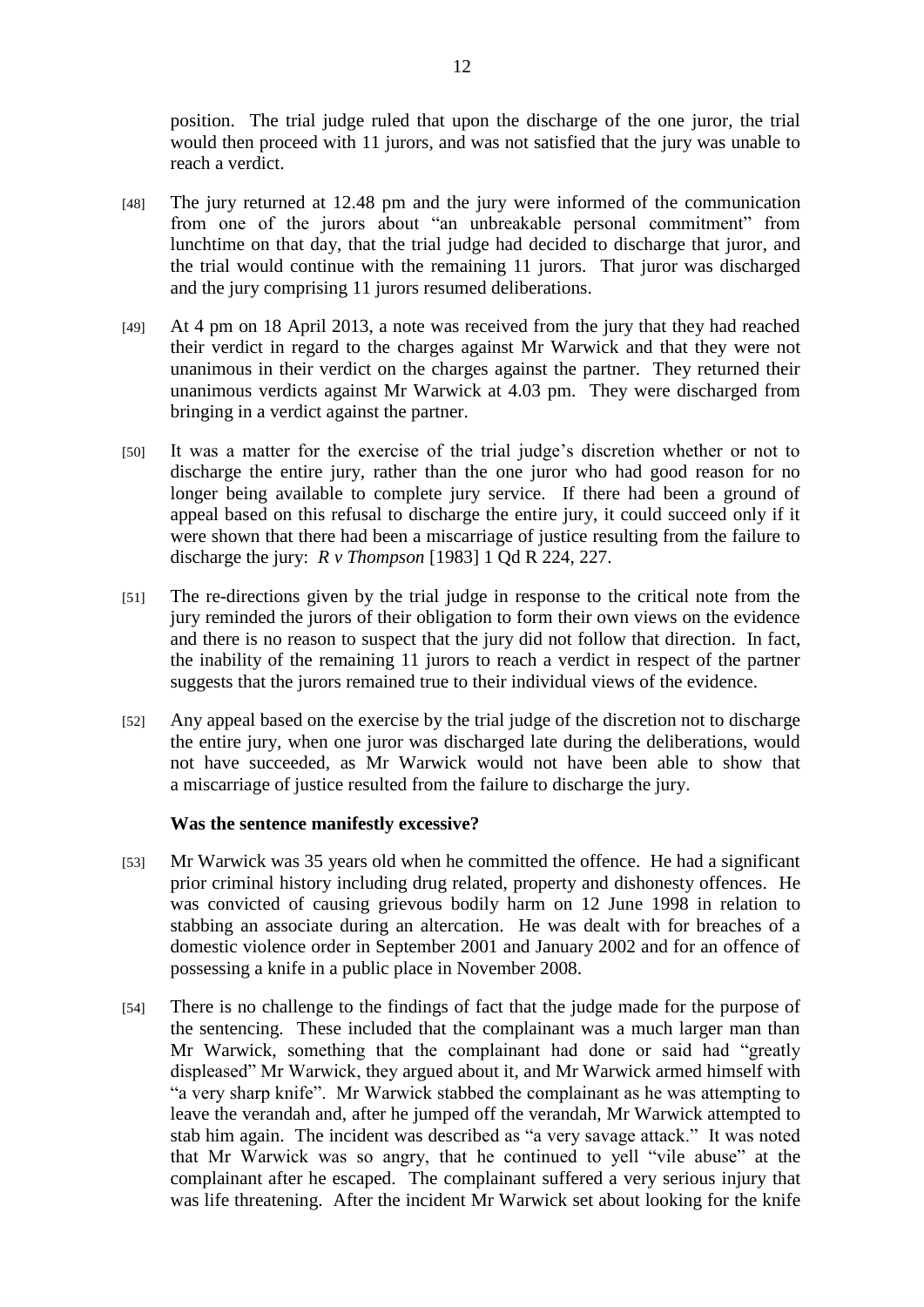position. The trial judge ruled that upon the discharge of the one juror, the trial would then proceed with 11 jurors, and was not satisfied that the jury was unable to reach a verdict.

- [48] The jury returned at 12.48 pm and the jury were informed of the communication from one of the jurors about "an unbreakable personal commitment" from lunchtime on that day, that the trial judge had decided to discharge that juror, and the trial would continue with the remaining 11 jurors. That juror was discharged and the jury comprising 11 jurors resumed deliberations.
- [49] At 4 pm on 18 April 2013, a note was received from the jury that they had reached their verdict in regard to the charges against Mr Warwick and that they were not unanimous in their verdict on the charges against the partner. They returned their unanimous verdicts against Mr Warwick at 4.03 pm. They were discharged from bringing in a verdict against the partner.
- [50] It was a matter for the exercise of the trial judge's discretion whether or not to discharge the entire jury, rather than the one juror who had good reason for no longer being available to complete jury service. If there had been a ground of appeal based on this refusal to discharge the entire jury, it could succeed only if it were shown that there had been a miscarriage of justice resulting from the failure to discharge the jury: *R v Thompson* [1983] 1 Qd R 224, 227.
- [51] The re-directions given by the trial judge in response to the critical note from the jury reminded the jurors of their obligation to form their own views on the evidence and there is no reason to suspect that the jury did not follow that direction. In fact, the inability of the remaining 11 jurors to reach a verdict in respect of the partner suggests that the jurors remained true to their individual views of the evidence.
- [52] Any appeal based on the exercise by the trial judge of the discretion not to discharge the entire jury, when one juror was discharged late during the deliberations, would not have succeeded, as Mr Warwick would not have been able to show that a miscarriage of justice resulted from the failure to discharge the jury.

#### **Was the sentence manifestly excessive?**

- [53] Mr Warwick was 35 years old when he committed the offence. He had a significant prior criminal history including drug related, property and dishonesty offences. He was convicted of causing grievous bodily harm on 12 June 1998 in relation to stabbing an associate during an altercation. He was dealt with for breaches of a domestic violence order in September 2001 and January 2002 and for an offence of possessing a knife in a public place in November 2008.
- [54] There is no challenge to the findings of fact that the judge made for the purpose of the sentencing. These included that the complainant was a much larger man than Mr Warwick, something that the complainant had done or said had "greatly displeased" Mr Warwick, they argued about it, and Mr Warwick armed himself with "a very sharp knife". Mr Warwick stabbed the complainant as he was attempting to leave the verandah and, after he jumped off the verandah, Mr Warwick attempted to stab him again. The incident was described as "a very savage attack." It was noted that Mr Warwick was so angry, that he continued to yell "vile abuse" at the complainant after he escaped. The complainant suffered a very serious injury that was life threatening. After the incident Mr Warwick set about looking for the knife